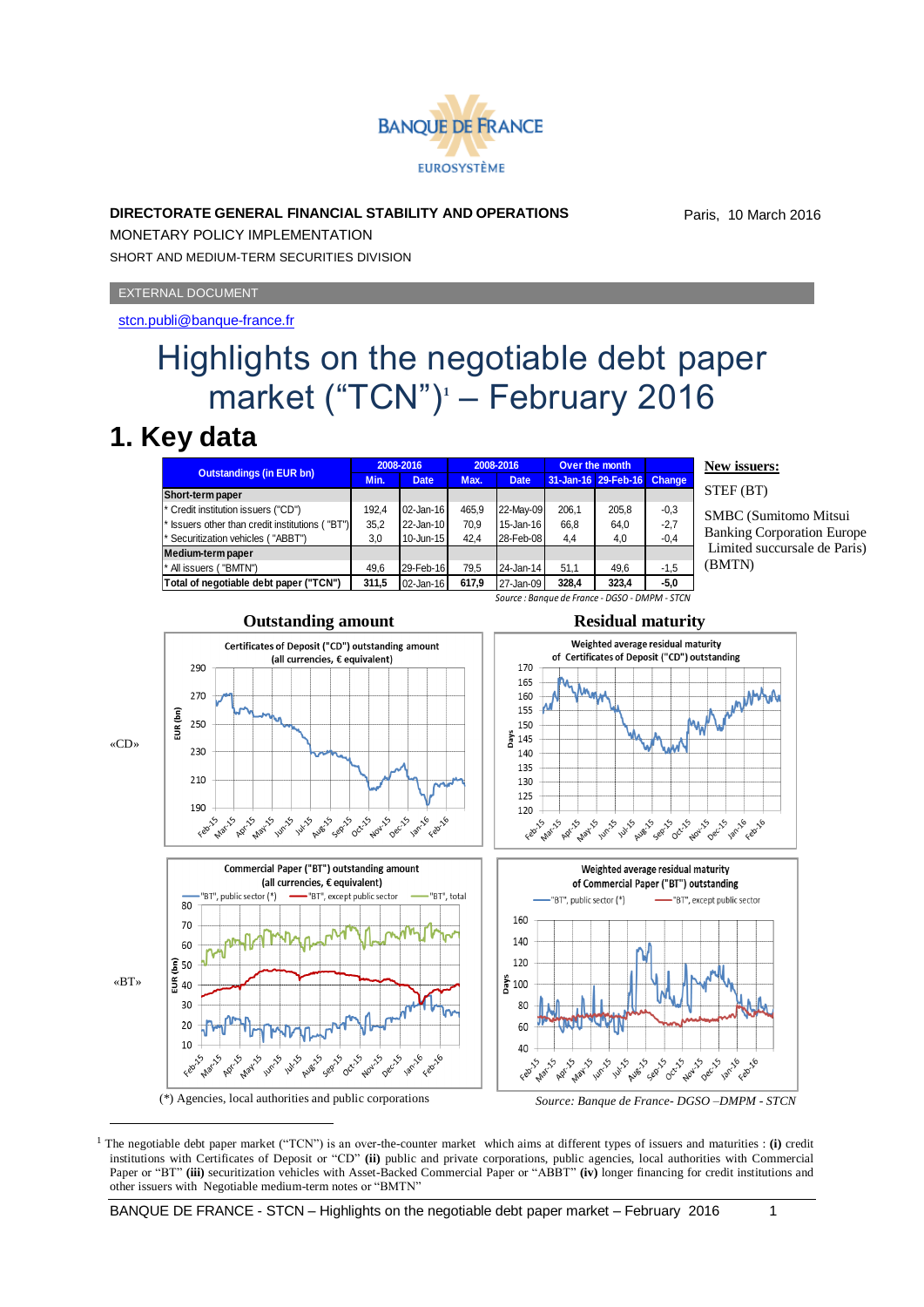

### **DIRECTORATE GENERAL FINANCIAL STABILITY AND OPERATIONS**

Paris, 10 March 2016

MONETARY POLICY IMPLEMENTATION SHORT AND MEDIUM-TERM SECURITIES DIVISION

#### EXTERNAL DOCUMENT

### <stcn.publi@banque-france.fr>

# Highlights on the negotiable debt paper market ("TCN")**<sup>1</sup>** – February 2016

### **1. Key data**

1

| <b>Outstandings (in EUR bn)</b>                 | 2008-2016 |             | 2008-2016 |             | Over the month |                     |               |
|-------------------------------------------------|-----------|-------------|-----------|-------------|----------------|---------------------|---------------|
|                                                 | Min.      | <b>Date</b> | Max.      | <b>Date</b> |                | 31-Jan-16 29-Feb-16 | <b>Change</b> |
| Short-term paper                                |           |             |           |             |                |                     |               |
| * Credit institution issuers ("CD")             | 192.4     | 02-Jan-16   | 465.9     | 22-May-09   | 206.1          | 205,8               | $-0.3$        |
| * Issuers other than credit institutions ("BT") | 35,2      | 22-Jan-10   | 70.9      | 15-Jan-16   | 66.8           | 64,0                | $-2.7$        |
| <sup>*</sup> Securitization vehicles ("ABBT")   | 3,0       | 10-Jun-15   | 42.4      | 28-Feb-08   | 4,4            | 4,0                 | $-0,4$        |
| Medium-term paper                               |           |             |           |             |                |                     |               |
| "BMTN")<br>* All issuers (                      | 49.6      | 29-Feb-16   | 79.5      | 24-Jan-14   | 51.1           | 49,6                | $-1,5$        |
| Total of negotiable debt paper ("TCN")          | 311,5     | 02-Jan-16   | 617,9     | 27-Jan-09   | 328,4          | 323,4               | $-5.0$        |
| Source : Banaue de France - DGSO - DMPM - STCN  |           |             |           |             |                |                     |               |

**New issuers:**

STEF (BT)

SMBC (Sumitomo Mitsui Banking Corporation Europe Limited succursale de Paris) (BMTN)



<sup>(\*)</sup> Agencies, local authorities and public corporations *Source: Banque de France- DGSO –DMPM - STCN*

<sup>&</sup>lt;sup>1</sup> The negotiable debt paper market ("TCN") is an over-the-counter market which aims at different types of issuers and maturities : (i) credit institutions with Certificates of Deposit or "CD" **(ii)** public and private corporations, public agencies, local authorities with Commercial Paper or "BT" (iii) securitization vehicles with Asset-Backed Commercial Paper or "ABBT" (iv) longer financing for credit institutions and other issuers with Negotiable medium-term notes or "BMTN"